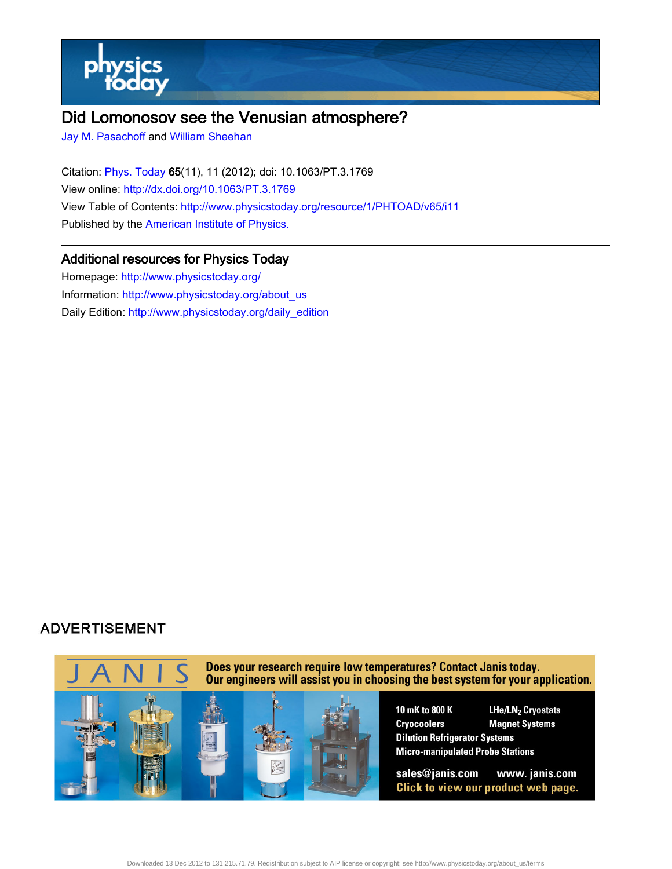

# Did Lomonosov see the Venusian atmosphere?

[Jay M. Pasachoff](http://www.physicstoday.org/search?sortby=newestdate&q=&searchzone=2&searchtype=searchin&faceted=faceted&key=AIP_ALL&possible1=Jay M. Pasachoff&possible1zone=author&alias=&displayid=AIP&ver=pdfcov) and [William Sheehan](http://www.physicstoday.org/search?sortby=newestdate&q=&searchzone=2&searchtype=searchin&faceted=faceted&key=AIP_ALL&possible1=William Sheehan&possible1zone=author&alias=&displayid=AIP&ver=pdfcov)

Citation: [Phys. Today 6](http://www.physicstoday.org/?ver=pdfcov)5(11), 11 (2012); doi: 10.1063/PT.3.1769 View online: [http://dx.doi.org/10.1063/PT.3.1769](http://link.aip.org/link/doi/10.1063/PT.3.1769?ver=pdfcov) View Table of Contents: [http://www.physicstoday.org/resource/1/PHTOAD/v65/i11](http://www.physicstoday.org/resource/1/PHTOAD/v65/i11?ver=pdfcov) Published by the [American Institute of Physics.](http://www.aip.org/?ver=pdfcov)

#### Additional resources for Physics Today

Homepage: [http://www.physicstoday.org/](http://www.physicstoday.org/?ver=pdfcov) Information: [http://www.physicstoday.org/about\\_us](http://www.physicstoday.org/about_us?ver=pdfcov) Daily Edition: [http://www.physicstoday.org/daily\\_edition](http://www.physicstoday.org/daily_edition?ver=pdfcov)

### **ADVERTISEMENT**

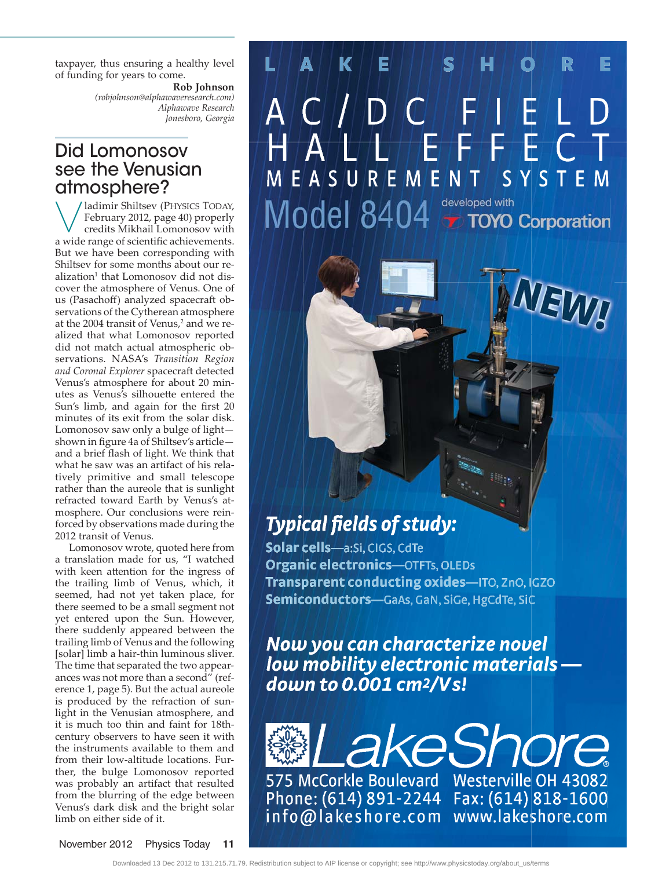taxpayer, thus ensuring a healthy level of funding for years to come.

> **Rob Johnson** *(robjohnson@alphawaveresearch.com) Alphawave Research Jonesboro, Georgia*

## Did Lomonosov see the Venusian atmosphere?

VALUS PRINCE .<br>
February 2012, page 40) properly<br>
credits Mikhail Lomonosov with credits Mikhail Lomonosov with a wide range of scientific achievements. But we have been corresponding with Shiltsev for some months about our realization<sup>1</sup> that Lomonosov did not discover the atmosphere of Venus. One of us (Pasachoff) analyzed spacecraft observations of the Cytherean atmosphere at the 2004 transit of Venus,<sup>2</sup> and we realized that what Lomonosov reported did not match actual atmospheric observations. NASA's *Transition Region and Coronal Explorer* spacecraft detected Venus's atmosphere for about 20 minutes as Venus's silhouette entered the Sun's limb, and again for the first 20 minutes of its exit from the solar disk. Lomonosov saw only a bulge of light shown in figure 4a of Shiltsev's article and a brief flash of light. We think that what he saw was an artifact of his relatively primitive and small telescope rather than the aureole that is sunlight refracted toward Earth by Venus's atmosphere. Our conclusions were reinforced by observations made during the 2012 transit of Venus.

Lomonosov wrote, quoted here from a translation made for us, "I watched with keen attention for the ingress of the trailing limb of Venus, which, it seemed, had not yet taken place, for there seemed to be a small segment not yet entered upon the Sun. However, there suddenly appeared between the trailing limb of Venus and the following [solar] limb a hair-thin luminous sliver. The time that separated the two appearances was not more than a second" (reference 1, page 5). But the actual aureole is produced by the refraction of sunlight in the Venusian atmosphere, and it is much too thin and faint for 18thcentury observers to have seen it with the instruments available to them and from their low-altitude locations. Further, the bulge Lomonosov reported was probably an artifact that resulted from the blurring of the edge between Venus's dark disk and the bright solar limb on either side of it.

### K E E  $\bigcap$  $\overline{\mathbf{r}}$ EASUREMENT SYSTEM developed with Model 8404 **T TOYO Corporation**

**SLI** 

# **Typical fields of study:**

Solar cells-a:Si, CIGS, CdTe **Organic electronics-OTFTs, OLEDs** Transparent conducting oxides-ITO, ZnO, IGZO Semiconductors-GaAs, GaN, SiGe, HgCdTe, SiC

Now you can characterize novel low mobility electronic materials down to 0.001 cm<sup>2</sup>/Vs!

akeShore 575 McCorkle Boulevard Westerville OH 43082 Phone: (614) 891-2244 Fax: (614) 818-1600 info@lakeshore.com www.lakeshore.com

November 2012 Physics Today **11**

Downloaded 13 Dec 2012 to 131.215.71.79. Redistribution subject to AIP license or copyright; see http://www.physicstoday.org/about\_us/terms